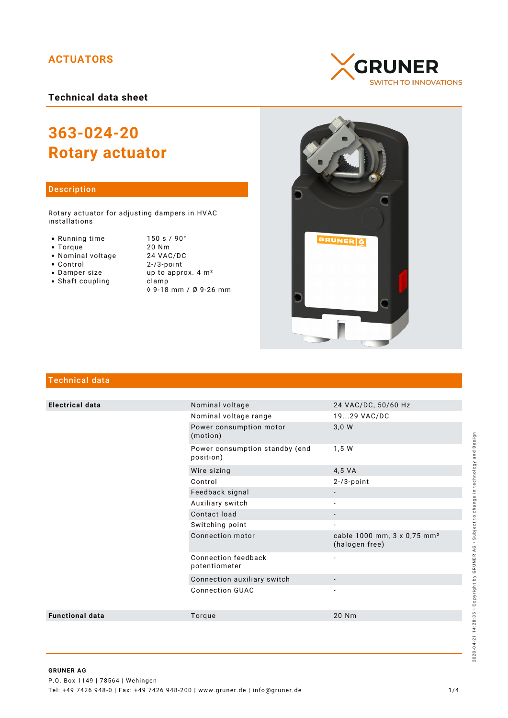# **ACTUATORS**

**Technical data sheet**

# **363-024-20 Rotary actuator**

## Description

Rotary actuator for adjusting dampers in HVAC installations

- Running time
- $\bullet$  Torque
- Nominal voltage
- Control
- Damper size
- $\bullet$  Shaft coupling

| 150 s / 90°                   |
|-------------------------------|
| 20 Nm                         |
| 24 VAC/DC                     |
| $2 - 73$ -point               |
| up to approx. $4 \text{ m}^2$ |
| clamp                         |
| ◊ 9-18 mm / Ø 9-26 mm         |





# Technical data

| <b>Electrical data</b> | Nominal voltage                             | 24 VAC/DC, 50/60 Hz                                       |
|------------------------|---------------------------------------------|-----------------------------------------------------------|
|                        | Nominal voltage range                       | 1929 VAC/DC                                               |
|                        | Power consumption motor<br>(motion)         | 3,0 W                                                     |
|                        | Power consumption standby (end<br>position) | 1,5 W                                                     |
|                        | Wire sizing                                 | 4,5 VA                                                    |
|                        | Control                                     | $2 - 3$ -point                                            |
|                        | Feedback signal                             |                                                           |
|                        | Auxiliary switch                            |                                                           |
|                        | Contact load                                |                                                           |
|                        | Switching point                             |                                                           |
|                        | Connection motor                            | cable 1000 mm, 3 x 0,75 mm <sup>2</sup><br>(halogen free) |
|                        | Connection feedback<br>potentiometer        | $\overline{\phantom{a}}$                                  |
|                        | Connection auxiliary switch                 |                                                           |
|                        | <b>Connection GUAC</b>                      |                                                           |
| <b>Functional data</b> | Torque                                      | 20 Nm                                                     |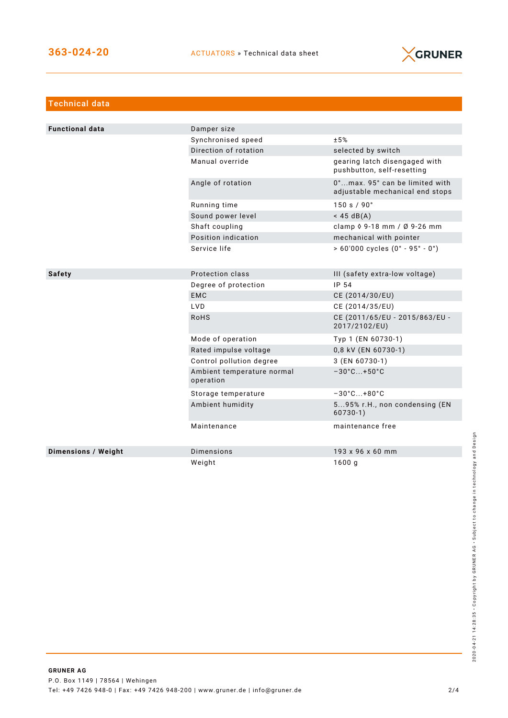

| <b>Technical data</b>  |                                         |                                                                   |
|------------------------|-----------------------------------------|-------------------------------------------------------------------|
|                        |                                         |                                                                   |
| <b>Functional data</b> | Damper size                             |                                                                   |
|                        | Synchronised speed                      | ±5%                                                               |
|                        | Direction of rotation                   | selected by switch                                                |
|                        | Manual override                         | gearing latch disengaged with<br>pushbutton, self-resetting       |
|                        | Angle of rotation                       | 0°max. 95° can be limited with<br>adjustable mechanical end stops |
|                        | Running time                            | 150 s / 90°                                                       |
|                        | Sound power level                       | $<$ 45 dB(A)                                                      |
|                        | Shaft coupling                          | clamp $0.9 - 18$ mm / Ø 9-26 mm                                   |
|                        | Position indication                     | mechanical with pointer                                           |
|                        | Service life                            | $> 60'000$ cycles $(0° - 95° - 0°)$                               |
|                        |                                         |                                                                   |
| <b>Safety</b>          | Protection class                        | III (safety extra-low voltage)                                    |
|                        | Degree of protection                    | IP 54                                                             |
|                        | <b>EMC</b>                              | CE (2014/30/EU)                                                   |
|                        | <b>LVD</b>                              | CE (2014/35/EU)                                                   |
|                        | <b>RoHS</b>                             | CE (2011/65/EU - 2015/863/EU -<br>2017/2102/EU)                   |
|                        | Mode of operation                       | Typ 1 (EN 60730-1)                                                |
|                        | Rated impulse voltage                   | 0,8 kV (EN 60730-1)                                               |
|                        | Control pollution degree                | 3 (EN 60730-1)                                                    |
|                        | Ambient temperature normal<br>operation | $-30^{\circ}$ C +50 $^{\circ}$ C                                  |
|                        | Storage temperature                     | $-30^{\circ}$ C +80 $^{\circ}$ C                                  |
|                        | Ambient humidity                        | 595% r.H., non condensing (EN<br>$60730-1)$                       |
|                        | Maintenance                             | maintenance free                                                  |
| Dimensions / Weight    | <b>Dimensions</b>                       | 193 x 96 x 60 mm                                                  |
|                        | Weight                                  | 1600q                                                             |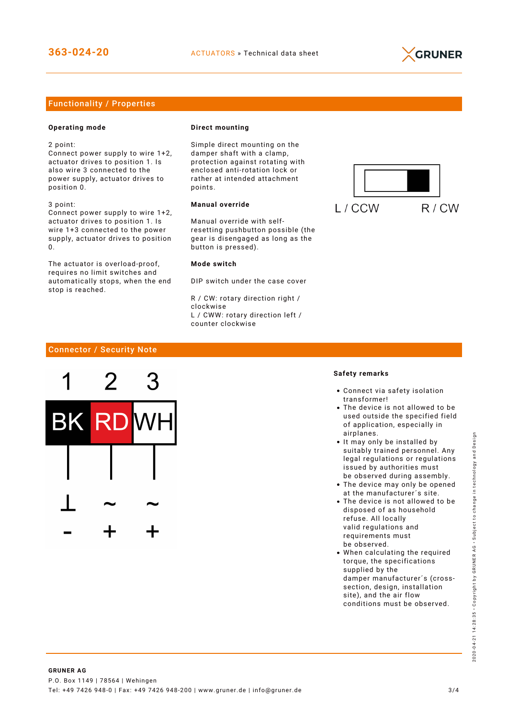

# Functionality / Properties

## **Operating mode**

2 point:

Connect power supply to wire 1+2, actuator drives to position 1. Is also wire 3 connected to the power supply, actuator drives to position 0.

3 point: Connect power supply to wire 1+2, actuator drives to position 1. Is wire 1+3 connected to the power supply, actuator drives to position  $\Omega$ 

The actuator is overload-proof, requires no limit switches and automatically stops, when the end stop is reached.

#### **Direct mounting**

Simple direct mounting on the damper shaft with a clamp, protection against rotating with enclosed anti-rotation lock or rather at intended attachment points.

## **Manual override**

Manual override with selfresetting pushbutton possible (the gear is disengaged as long as the button is pressed).

#### **Mode switch**

DIP switch under the case cover

R / CW: rotary direction right / clockwise L / CWW: rotary direction left / counter clockwise



# Connector / Security Note



#### **Safety remarks**

- Connect via safety isolation transformer!
- The device is not allowed to be used outside the specified field of application, especially in airplanes.
- It may only be installed by suitably trained personnel. Any legal regulations or regulations issued by authorities must be observed during assembly.
- The device may only be opened at the manufacturer´s site.
- The device is not allowed to be disposed of as household refuse. All locally valid regulations and requirements must be observed.
- When calculating the required torque, the specifications supplied by the damper manufacturer´s (crosssection, design, installation site), and the air flow conditions must be observed.